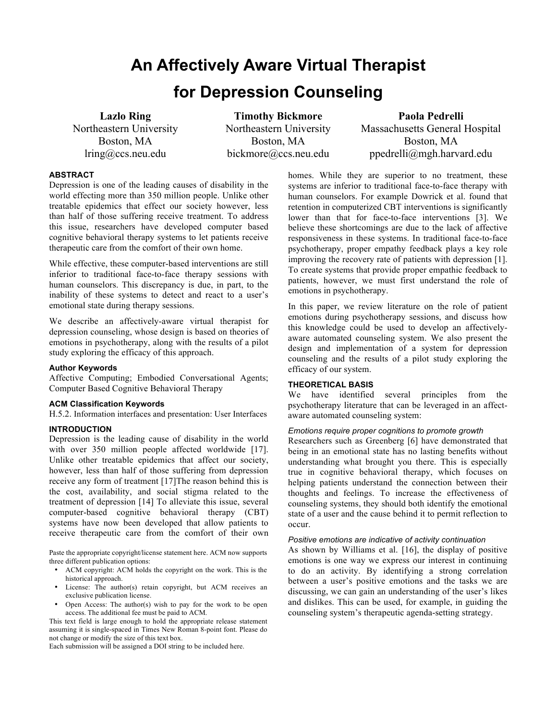# **An Affectively Aware Virtual Therapist for Depression Counseling**

**Lazlo Ring** Northeastern University Boston, MA lring@ccs.neu.edu

**Timothy Bickmore** Northeastern University Boston, MA bickmore@ccs.neu.edu

**Paola Pedrelli** Massachusetts General Hospital Boston, MA ppedrelli@mgh.harvard.edu

# **ABSTRACT**

Depression is one of the leading causes of disability in the world effecting more than 350 million people. Unlike other treatable epidemics that effect our society however, less than half of those suffering receive treatment. To address this issue, researchers have developed computer based cognitive behavioral therapy systems to let patients receive therapeutic care from the comfort of their own home.

While effective, these computer-based interventions are still inferior to traditional face-to-face therapy sessions with human counselors. This discrepancy is due, in part, to the inability of these systems to detect and react to a user's emotional state during therapy sessions.

We describe an affectively-aware virtual therapist for depression counseling, whose design is based on theories of emotions in psychotherapy, along with the results of a pilot study exploring the efficacy of this approach.

# **Author Keywords**

Affective Computing; Embodied Conversational Agents; Computer Based Cognitive Behavioral Therapy

#### **ACM Classification Keywords**

H.5.2. Information interfaces and presentation: User Interfaces

#### **INTRODUCTION**

Depression is the leading cause of disability in the world with over 350 million people affected worldwide [17]. Unlike other treatable epidemics that affect our society, however, less than half of those suffering from depression receive any form of treatment [17]The reason behind this is the cost, availability, and social stigma related to the treatment of depression [14] To alleviate this issue, several computer-based cognitive behavioral therapy (CBT) systems have now been developed that allow patients to receive therapeutic care from the comfort of their own

Paste the appropriate copyright/license statement here. ACM now supports three different publication options:

- ACM copyright: ACM holds the copyright on the work. This is the historical approach.
- License: The author(s) retain copyright, but ACM receives an exclusive publication license.
- Open Access: The author(s) wish to pay for the work to be open access. The additional fee must be paid to ACM.

This text field is large enough to hold the appropriate release statement assuming it is single-spaced in Times New Roman 8-point font. Please do not change or modify the size of this text box.

Each submission will be assigned a DOI string to be included here.

homes. While they are superior to no treatment, these systems are inferior to traditional face-to-face therapy with human counselors. For example Dowrick et al. found that retention in computerized CBT interventions is significantly lower than that for face-to-face interventions [3]. We believe these shortcomings are due to the lack of affective responsiveness in these systems. In traditional face-to-face psychotherapy, proper empathy feedback plays a key role improving the recovery rate of patients with depression [1]. To create systems that provide proper empathic feedback to patients, however, we must first understand the role of emotions in psychotherapy.

In this paper, we review literature on the role of patient emotions during psychotherapy sessions, and discuss how this knowledge could be used to develop an affectivelyaware automated counseling system. We also present the design and implementation of a system for depression counseling and the results of a pilot study exploring the efficacy of our system.

## **THEORETICAL BASIS**

We have identified several principles from the psychotherapy literature that can be leveraged in an affectaware automated counseling system:

# *Emotions require proper cognitions to promote growth*

Researchers such as Greenberg [6] have demonstrated that being in an emotional state has no lasting benefits without understanding what brought you there. This is especially true in cognitive behavioral therapy, which focuses on helping patients understand the connection between their thoughts and feelings. To increase the effectiveness of counseling systems, they should both identify the emotional state of a user and the cause behind it to permit reflection to occur.

#### *Positive emotions are indicative of activity continuation*

As shown by Williams et al. [16], the display of positive emotions is one way we express our interest in continuing to do an activity. By identifying a strong correlation between a user's positive emotions and the tasks we are discussing, we can gain an understanding of the user's likes and dislikes. This can be used, for example, in guiding the counseling system's therapeutic agenda-setting strategy.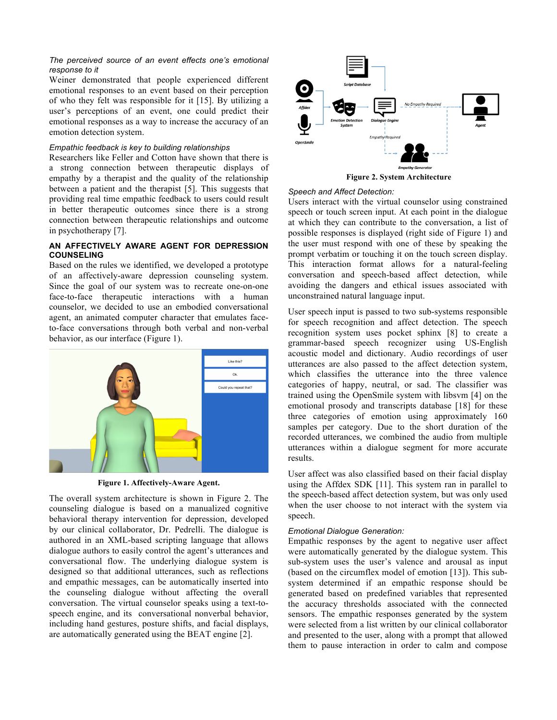## *The perceived source of an event effects one's emotional response to it*

Weiner demonstrated that people experienced different emotional responses to an event based on their perception of who they felt was responsible for it [15]. By utilizing a user's perceptions of an event, one could predict their emotional responses as a way to increase the accuracy of an emotion detection system.

# *Empathic feedback is key to building relationships*

Researchers like Feller and Cotton have shown that there is a strong connection between therapeutic displays of empathy by a therapist and the quality of the relationship between a patient and the therapist [5]. This suggests that providing real time empathic feedback to users could result in better therapeutic outcomes since there is a strong connection between therapeutic relationships and outcome in psychotherapy [7].

# **AN AFFECTIVELY AWARE AGENT FOR DEPRESSION COUNSELING**

Based on the rules we identified, we developed a prototype of an affectively-aware depression counseling system. Since the goal of our system was to recreate one-on-one face-to-face therapeutic interactions with a human counselor, we decided to use an embodied conversational agent, an animated computer character that emulates faceto-face conversations through both verbal and non-verbal behavior, as our interface (Figure 1).



**Figure 1. Affectively-Aware Agent.**

The overall system architecture is shown in Figure 2. The counseling dialogue is based on a manualized cognitive behavioral therapy intervention for depression, developed by our clinical collaborator, Dr. Pedrelli. The dialogue is authored in an XML-based scripting language that allows dialogue authors to easily control the agent's utterances and conversational flow. The underlying dialogue system is designed so that additional utterances, such as reflections and empathic messages, can be automatically inserted into the counseling dialogue without affecting the overall conversation. The virtual counselor speaks using a text-tospeech engine, and its conversational nonverbal behavior, including hand gestures, posture shifts, and facial displays, are automatically generated using the BEAT engine [2].



# *Speech and Affect Detection:*

Users interact with the virtual counselor using constrained speech or touch screen input. At each point in the dialogue at which they can contribute to the conversation, a list of possible responses is displayed (right side of Figure 1) and the user must respond with one of these by speaking the prompt verbatim or touching it on the touch screen display. This interaction format allows for a natural-feeling conversation and speech-based affect detection, while avoiding the dangers and ethical issues associated with unconstrained natural language input.

User speech input is passed to two sub-systems responsible for speech recognition and affect detection. The speech recognition system uses pocket sphinx [8] to create a grammar-based speech recognizer using US-English acoustic model and dictionary. Audio recordings of user utterances are also passed to the affect detection system, which classifies the utterance into the three valence categories of happy, neutral, or sad. The classifier was trained using the OpenSmile system with libsvm [4] on the emotional prosody and transcripts database [18] for these three categories of emotion using approximately 160 samples per category. Due to the short duration of the recorded utterances, we combined the audio from multiple utterances within a dialogue segment for more accurate results.

User affect was also classified based on their facial display using the Affdex SDK [11]. This system ran in parallel to the speech-based affect detection system, but was only used when the user choose to not interact with the system via speech.

# *Emotional Dialogue Generation:*

Empathic responses by the agent to negative user affect were automatically generated by the dialogue system. This sub-system uses the user's valence and arousal as input (based on the circumflex model of emotion [13]). This subsystem determined if an empathic response should be generated based on predefined variables that represented the accuracy thresholds associated with the connected sensors. The empathic responses generated by the system were selected from a list written by our clinical collaborator and presented to the user, along with a prompt that allowed them to pause interaction in order to calm and compose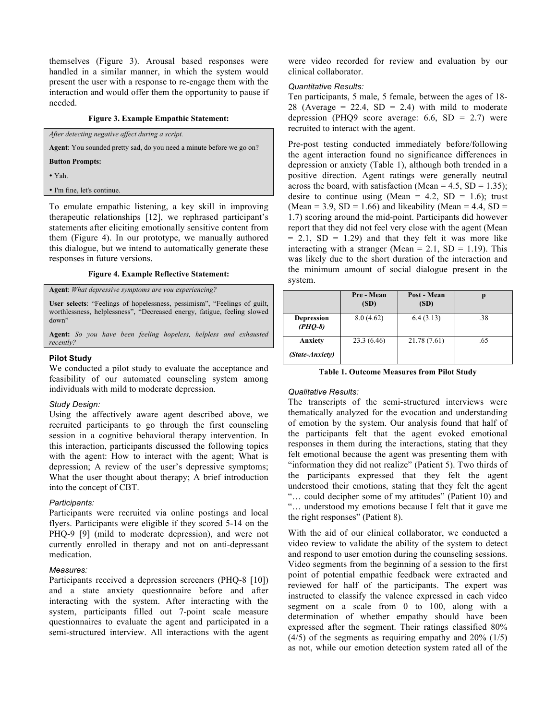themselves (Figure 3). Arousal based responses were handled in a similar manner, in which the system would present the user with a response to re-engage them with the interaction and would offer them the opportunity to pause if needed.

#### **Figure 3. Example Empathic Statement:**

*After detecting negative affect during a script.*

**Agent**: You sounded pretty sad, do you need a minute before we go on?

**Button Prompts:**

• Yah.

• I'm fine, let's continue.

To emulate empathic listening, a key skill in improving therapeutic relationships [12], we rephrased participant's statements after eliciting emotionally sensitive content from them (Figure 4). In our prototype, we manually authored this dialogue, but we intend to automatically generate these responses in future versions.

#### **Figure 4. Example Reflective Statement:**

# **Agent**: *What depressive symptoms are you experiencing?*

**User selects**: "Feelings of hopelessness, pessimism", "Feelings of guilt, worthlessness, helplessness", "Decreased energy, fatigue, feeling slowed down"

**Agent:** *So you have been feeling hopeless, helpless and exhausted recently?*

#### **Pilot Study**

We conducted a pilot study to evaluate the acceptance and feasibility of our automated counseling system among individuals with mild to moderate depression.

#### *Study Design:*

Using the affectively aware agent described above, we recruited participants to go through the first counseling session in a cognitive behavioral therapy intervention. In this interaction, participants discussed the following topics with the agent: How to interact with the agent; What is depression; A review of the user's depressive symptoms; What the user thought about therapy; A brief introduction into the concept of CBT.

#### *Participants:*

Participants were recruited via online postings and local flyers. Participants were eligible if they scored 5-14 on the PHQ-9 [9] (mild to moderate depression), and were not currently enrolled in therapy and not on anti-depressant medication.

#### *Measures:*

Participants received a depression screeners (PHQ-8 [10]) and a state anxiety questionnaire before and after interacting with the system. After interacting with the system, participants filled out 7-point scale measure questionnaires to evaluate the agent and participated in a semi-structured interview. All interactions with the agent were video recorded for review and evaluation by our clinical collaborator.

# *Quantitative Results:*

Ten participants, 5 male, 5 female, between the ages of 18- 28 (Average = 22.4,  $SD = 2.4$ ) with mild to moderate depression (PHQ9 score average:  $6.6$ , SD = 2.7) were recruited to interact with the agent.

Pre-post testing conducted immediately before/following the agent interaction found no significance differences in depression or anxiety (Table 1), although both trended in a positive direction. Agent ratings were generally neutral across the board, with satisfaction (Mean =  $4.5$ , SD =  $1.35$ ); desire to continue using (Mean = 4.2, SD = 1.6); trust (Mean = 3.9, SD = 1.66) and likeability (Mean = 4.4, SD = 1.7) scoring around the mid-point. Participants did however report that they did not feel very close with the agent (Mean  $= 2.1$ , SD  $= 1.29$ ) and that they felt it was more like interacting with a stranger (Mean =  $2.1$ , SD = 1.19). This was likely due to the short duration of the interaction and the minimum amount of social dialogue present in the system.

|                                | Pre - Mean<br>(SD) | Post - Mean<br>(SD) |     |
|--------------------------------|--------------------|---------------------|-----|
| <b>Depression</b><br>$(PHO-8)$ | 8.0(4.62)          | 6.4(3.13)           | .38 |
| Anxiety<br>(State-Anxiety)     | 23.3(6.46)         | 21.78 (7.61)        | .65 |

**Table 1. Outcome Measures from Pilot Study**

#### *Qualitative Results:*

The transcripts of the semi-structured interviews were thematically analyzed for the evocation and understanding of emotion by the system. Our analysis found that half of the participants felt that the agent evoked emotional responses in them during the interactions, stating that they felt emotional because the agent was presenting them with "information they did not realize" (Patient 5). Two thirds of the participants expressed that they felt the agent understood their emotions, stating that they felt the agent "… could decipher some of my attitudes" (Patient 10) and "… understood my emotions because I felt that it gave me the right responses" (Patient 8).

With the aid of our clinical collaborator, we conducted a video review to validate the ability of the system to detect and respond to user emotion during the counseling sessions. Video segments from the beginning of a session to the first point of potential empathic feedback were extracted and reviewed for half of the participants. The expert was instructed to classify the valence expressed in each video segment on a scale from 0 to 100, along with a determination of whether empathy should have been expressed after the segment. Their ratings classified 80%  $(4/5)$  of the segments as requiring empathy and  $20\%$   $(1/5)$ as not, while our emotion detection system rated all of the